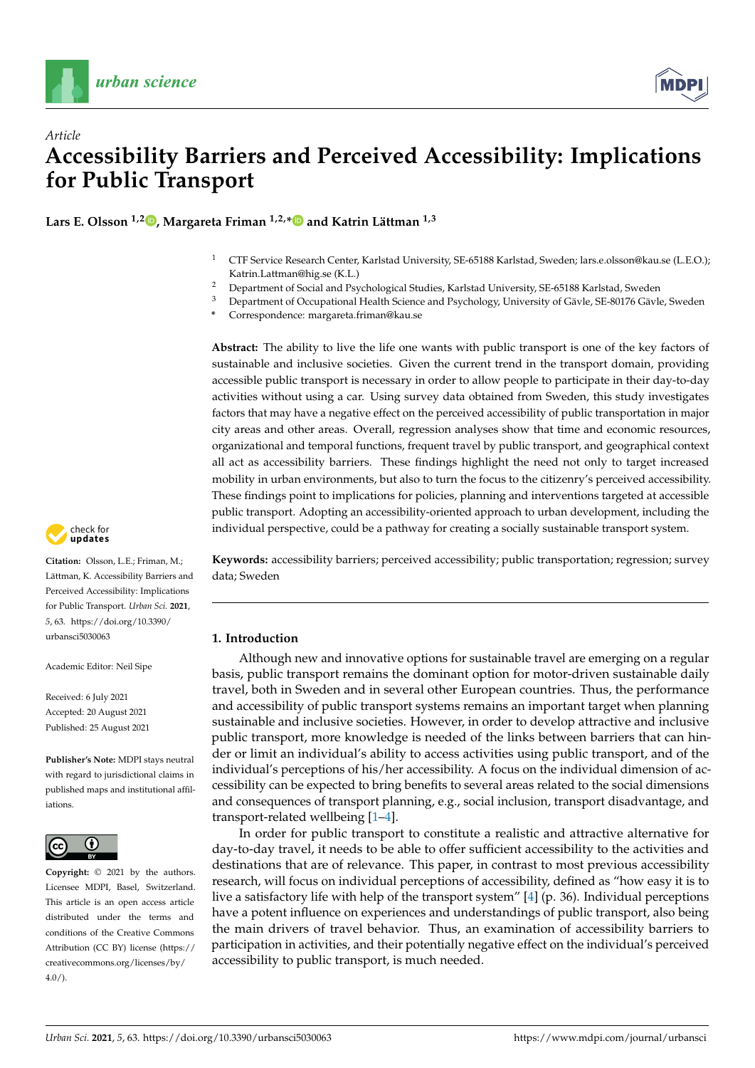



**Lars E. Olsson 1,2 [,](https://orcid.org/0000-0002-6570-6181) Margareta Friman 1,2,[\\*](https://orcid.org/0000-0002-7475-680X) and Katrin Lättman 1,3**

- <sup>1</sup> CTF Service Research Center, Karlstad University, SE-65188 Karlstad, Sweden; lars.e.olsson@kau.se (L.E.O.); Katrin.Lattman@hig.se (K.L.)
- <sup>2</sup> Department of Social and Psychological Studies, Karlstad University, SE-65188 Karlstad, Sweden<br><sup>3</sup> Department of Occupational Hoalth Science and Psychology University of Cäyle, SE-80176 Cäyle
- <sup>3</sup> Department of Occupational Health Science and Psychology, University of Gävle, SE-80176 Gävle, Sweden
	- **\*** Correspondence: margareta.friman@kau.se

**Abstract:** The ability to live the life one wants with public transport is one of the key factors of sustainable and inclusive societies. Given the current trend in the transport domain, providing accessible public transport is necessary in order to allow people to participate in their day-to-day activities without using a car. Using survey data obtained from Sweden, this study investigates factors that may have a negative effect on the perceived accessibility of public transportation in major city areas and other areas. Overall, regression analyses show that time and economic resources, organizational and temporal functions, frequent travel by public transport, and geographical context all act as accessibility barriers. These findings highlight the need not only to target increased mobility in urban environments, but also to turn the focus to the citizenry's perceived accessibility. These findings point to implications for policies, planning and interventions targeted at accessible public transport. Adopting an accessibility-oriented approach to urban development, including the individual perspective, could be a pathway for creating a socially sustainable transport system.

**Keywords:** accessibility barriers; perceived accessibility; public transportation; regression; survey data; Sweden

# **1. Introduction**

Although new and innovative options for sustainable travel are emerging on a regular basis, public transport remains the dominant option for motor-driven sustainable daily travel, both in Sweden and in several other European countries. Thus, the performance and accessibility of public transport systems remains an important target when planning sustainable and inclusive societies. However, in order to develop attractive and inclusive public transport, more knowledge is needed of the links between barriers that can hinder or limit an individual's ability to access activities using public transport, and of the individual's perceptions of his/her accessibility. A focus on the individual dimension of accessibility can be expected to bring benefits to several areas related to the social dimensions and consequences of transport planning, e.g., social inclusion, transport disadvantage, and transport-related wellbeing [\[1–](#page-12-0)[4\]](#page-12-1).

In order for public transport to constitute a realistic and attractive alternative for day-to-day travel, it needs to be able to offer sufficient accessibility to the activities and destinations that are of relevance. This paper, in contrast to most previous accessibility research, will focus on individual perceptions of accessibility, defined as "how easy it is to live a satisfactory life with help of the transport system" [\[4\]](#page-12-1) (p. 36). Individual perceptions have a potent influence on experiences and understandings of public transport, also being the main drivers of travel behavior. Thus, an examination of accessibility barriers to participation in activities, and their potentially negative effect on the individual's perceived accessibility to public transport, is much needed.



**Citation:** Olsson, L.E.; Friman, M.; Lättman, K. Accessibility Barriers and Perceived Accessibility: Implications for Public Transport. *Urban Sci.* **2021**, *5*, 63. [https://doi.org/10.3390/](https://doi.org/10.3390/urbansci5030063) [urbansci5030063](https://doi.org/10.3390/urbansci5030063)

Academic Editor: Neil Sipe

Received: 6 July 2021 Accepted: 20 August 2021 Published: 25 August 2021

**Publisher's Note:** MDPI stays neutral with regard to jurisdictional claims in published maps and institutional affiliations.



**Copyright:** © 2021 by the authors. Licensee MDPI, Basel, Switzerland. This article is an open access article distributed under the terms and conditions of the Creative Commons Attribution (CC BY) license (https:/[/](https://creativecommons.org/licenses/by/4.0/) [creativecommons.org/licenses/by/](https://creativecommons.org/licenses/by/4.0/)  $4.0/$ ).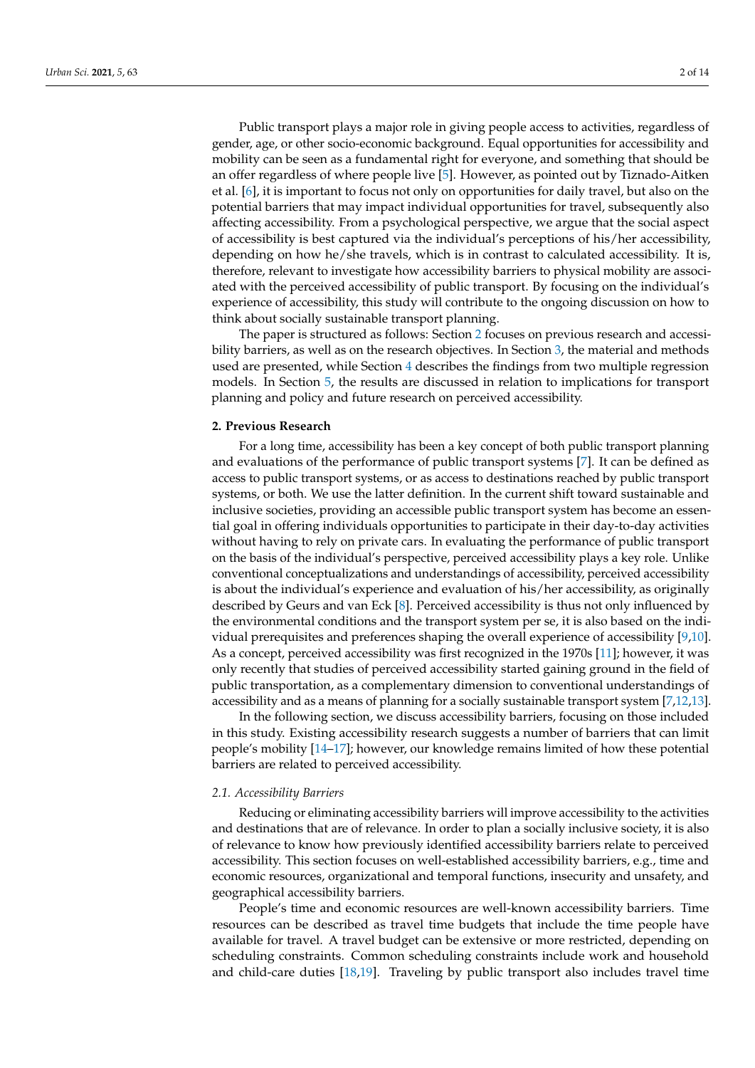Public transport plays a major role in giving people access to activities, regardless of gender, age, or other socio-economic background. Equal opportunities for accessibility and mobility can be seen as a fundamental right for everyone, and something that should be an offer regardless of where people live [\[5\]](#page-12-2). However, as pointed out by Tiznado-Aitken et al. [\[6\]](#page-12-3), it is important to focus not only on opportunities for daily travel, but also on the potential barriers that may impact individual opportunities for travel, subsequently also affecting accessibility. From a psychological perspective, we argue that the social aspect of accessibility is best captured via the individual's perceptions of his/her accessibility, depending on how he/she travels, which is in contrast to calculated accessibility. It is, therefore, relevant to investigate how accessibility barriers to physical mobility are associated with the perceived accessibility of public transport. By focusing on the individual's experience of accessibility, this study will contribute to the ongoing discussion on how to think about socially sustainable transport planning.

The paper is structured as follows: Section [2](#page-1-0) focuses on previous research and accessibility barriers, as well as on the research objectives. In Section [3,](#page-3-0) the material and methods used are presented, while Section [4](#page-5-0) describes the findings from two multiple regression models. In Section [5,](#page-8-0) the results are discussed in relation to implications for transport planning and policy and future research on perceived accessibility.

### <span id="page-1-0"></span>**2. Previous Research**

For a long time, accessibility has been a key concept of both public transport planning and evaluations of the performance of public transport systems [\[7\]](#page-12-4). It can be defined as access to public transport systems, or as access to destinations reached by public transport systems, or both. We use the latter definition. In the current shift toward sustainable and inclusive societies, providing an accessible public transport system has become an essential goal in offering individuals opportunities to participate in their day-to-day activities without having to rely on private cars. In evaluating the performance of public transport on the basis of the individual's perspective, perceived accessibility plays a key role. Unlike conventional conceptualizations and understandings of accessibility, perceived accessibility is about the individual's experience and evaluation of his/her accessibility, as originally described by Geurs and van Eck [\[8\]](#page-12-5). Perceived accessibility is thus not only influenced by the environmental conditions and the transport system per se, it is also based on the individual prerequisites and preferences shaping the overall experience of accessibility [\[9,](#page-12-6)[10\]](#page-12-7). As a concept, perceived accessibility was first recognized in the 1970s [\[11\]](#page-12-8); however, it was only recently that studies of perceived accessibility started gaining ground in the field of public transportation, as a complementary dimension to conventional understandings of accessibility and as a means of planning for a socially sustainable transport system [\[7,](#page-12-4)[12](#page-12-9)[,13\]](#page-12-10).

In the following section, we discuss accessibility barriers, focusing on those included in this study. Existing accessibility research suggests a number of barriers that can limit people's mobility [\[14](#page-12-11)[–17\]](#page-13-0); however, our knowledge remains limited of how these potential barriers are related to perceived accessibility.

#### *2.1. Accessibility Barriers*

Reducing or eliminating accessibility barriers will improve accessibility to the activities and destinations that are of relevance. In order to plan a socially inclusive society, it is also of relevance to know how previously identified accessibility barriers relate to perceived accessibility. This section focuses on well-established accessibility barriers, e.g., time and economic resources, organizational and temporal functions, insecurity and unsafety, and geographical accessibility barriers.

People's time and economic resources are well-known accessibility barriers. Time resources can be described as travel time budgets that include the time people have available for travel. A travel budget can be extensive or more restricted, depending on scheduling constraints. Common scheduling constraints include work and household and child-care duties [\[18](#page-13-1)[,19\]](#page-13-2). Traveling by public transport also includes travel time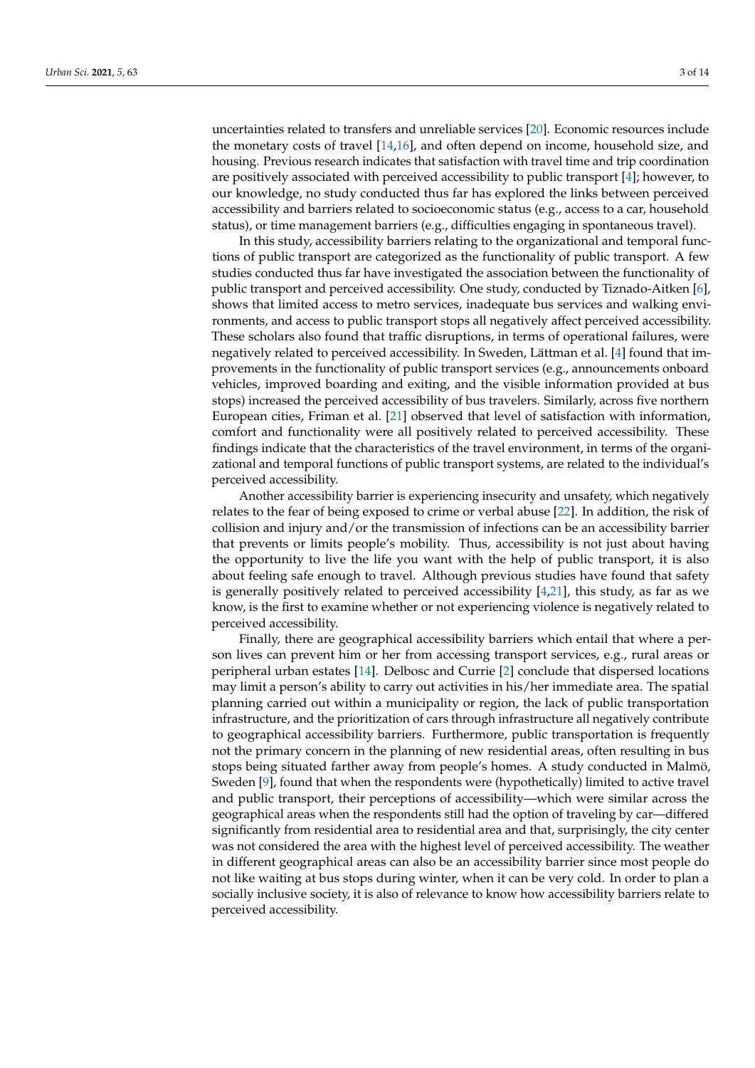uncertainties related to transfers and unreliable services [\[20\]](#page-13-3). Economic resources include the monetary costs of travel [\[14](#page-12-11)[,16\]](#page-12-12), and often depend on income, household size, and housing. Previous research indicates that satisfaction with travel time and trip coordination are positively associated with perceived accessibility to public transport [\[4\]](#page-12-1); however, to our knowledge, no study conducted thus far has explored the links between perceived accessibility and barriers related to socioeconomic status (e.g., access to a car, household status), or time management barriers (e.g., difficulties engaging in spontaneous travel).

In this study, accessibility barriers relating to the organizational and temporal functions of public transport are categorized as the functionality of public transport. A few studies conducted thus far have investigated the association between the functionality of public transport and perceived accessibility. One study, conducted by Tiznado-Aitken [\[6\]](#page-12-3), shows that limited access to metro services, inadequate bus services and walking environments, and access to public transport stops all negatively affect perceived accessibility. These scholars also found that traffic disruptions, in terms of operational failures, were negatively related to perceived accessibility. In Sweden, Lättman et al. [\[4\]](#page-12-1) found that improvements in the functionality of public transport services (e.g., announcements onboard vehicles, improved boarding and exiting, and the visible information provided at bus stops) increased the perceived accessibility of bus travelers. Similarly, across five northern European cities, Friman et al. [\[21\]](#page-13-4) observed that level of satisfaction with information, comfort and functionality were all positively related to perceived accessibility. These findings indicate that the characteristics of the travel environment, in terms of the organizational and temporal functions of public transport systems, are related to the individual's perceived accessibility.

Another accessibility barrier is experiencing insecurity and unsafety, which negatively relates to the fear of being exposed to crime or verbal abuse [\[22\]](#page-13-5). In addition, the risk of collision and injury and/or the transmission of infections can be an accessibility barrier that prevents or limits people's mobility. Thus, accessibility is not just about having the opportunity to live the life you want with the help of public transport, it is also about feeling safe enough to travel. Although previous studies have found that safety is generally positively related to perceived accessibility  $[4,21]$  $[4,21]$ , this study, as far as we know, is the first to examine whether or not experiencing violence is negatively related to perceived accessibility.

Finally, there are geographical accessibility barriers which entail that where a person lives can prevent him or her from accessing transport services, e.g., rural areas or peripheral urban estates [\[14\]](#page-12-11). Delbosc and Currie [\[2\]](#page-12-13) conclude that dispersed locations may limit a person's ability to carry out activities in his/her immediate area. The spatial planning carried out within a municipality or region, the lack of public transportation infrastructure, and the prioritization of cars through infrastructure all negatively contribute to geographical accessibility barriers. Furthermore, public transportation is frequently not the primary concern in the planning of new residential areas, often resulting in bus stops being situated farther away from people's homes. A study conducted in Malmö, Sweden [\[9\]](#page-12-6), found that when the respondents were (hypothetically) limited to active travel and public transport, their perceptions of accessibility—which were similar across the geographical areas when the respondents still had the option of traveling by car—differed significantly from residential area to residential area and that, surprisingly, the city center was not considered the area with the highest level of perceived accessibility. The weather in different geographical areas can also be an accessibility barrier since most people do not like waiting at bus stops during winter, when it can be very cold. In order to plan a socially inclusive society, it is also of relevance to know how accessibility barriers relate to perceived accessibility.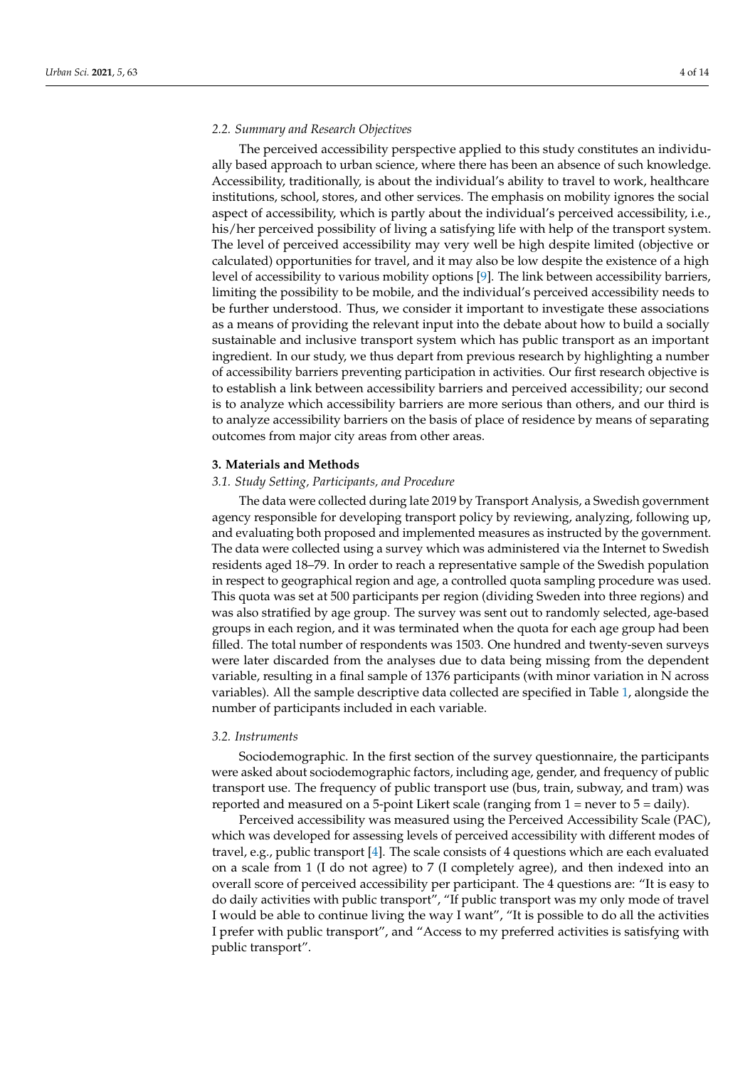#### *2.2. Summary and Research Objectives*

The perceived accessibility perspective applied to this study constitutes an individually based approach to urban science, where there has been an absence of such knowledge. Accessibility, traditionally, is about the individual's ability to travel to work, healthcare institutions, school, stores, and other services. The emphasis on mobility ignores the social aspect of accessibility, which is partly about the individual's perceived accessibility, i.e., his/her perceived possibility of living a satisfying life with help of the transport system. The level of perceived accessibility may very well be high despite limited (objective or calculated) opportunities for travel, and it may also be low despite the existence of a high level of accessibility to various mobility options [\[9\]](#page-12-6). The link between accessibility barriers, limiting the possibility to be mobile, and the individual's perceived accessibility needs to be further understood. Thus, we consider it important to investigate these associations as a means of providing the relevant input into the debate about how to build a socially sustainable and inclusive transport system which has public transport as an important ingredient. In our study, we thus depart from previous research by highlighting a number of accessibility barriers preventing participation in activities. Our first research objective is to establish a link between accessibility barriers and perceived accessibility; our second is to analyze which accessibility barriers are more serious than others, and our third is to analyze accessibility barriers on the basis of place of residence by means of separating outcomes from major city areas from other areas.

#### <span id="page-3-0"></span>**3. Materials and Methods**

### *3.1. Study Setting, Participants, and Procedure*

The data were collected during late 2019 by Transport Analysis, a Swedish government agency responsible for developing transport policy by reviewing, analyzing, following up, and evaluating both proposed and implemented measures as instructed by the government. The data were collected using a survey which was administered via the Internet to Swedish residents aged 18–79. In order to reach a representative sample of the Swedish population in respect to geographical region and age, a controlled quota sampling procedure was used. This quota was set at 500 participants per region (dividing Sweden into three regions) and was also stratified by age group. The survey was sent out to randomly selected, age-based groups in each region, and it was terminated when the quota for each age group had been filled. The total number of respondents was 1503. One hundred and twenty-seven surveys were later discarded from the analyses due to data being missing from the dependent variable, resulting in a final sample of 1376 participants (with minor variation in N across variables). All the sample descriptive data collected are specified in Table [1,](#page-5-1) alongside the number of participants included in each variable.

#### *3.2. Instruments*

Sociodemographic. In the first section of the survey questionnaire, the participants were asked about sociodemographic factors, including age, gender, and frequency of public transport use. The frequency of public transport use (bus, train, subway, and tram) was reported and measured on a 5-point Likert scale (ranging from 1 = never to 5 = daily).

Perceived accessibility was measured using the Perceived Accessibility Scale (PAC), which was developed for assessing levels of perceived accessibility with different modes of travel, e.g., public transport [\[4\]](#page-12-1). The scale consists of 4 questions which are each evaluated on a scale from 1 (I do not agree) to 7 (I completely agree), and then indexed into an overall score of perceived accessibility per participant. The 4 questions are: "It is easy to do daily activities with public transport", "If public transport was my only mode of travel I would be able to continue living the way I want", "It is possible to do all the activities I prefer with public transport", and "Access to my preferred activities is satisfying with public transport".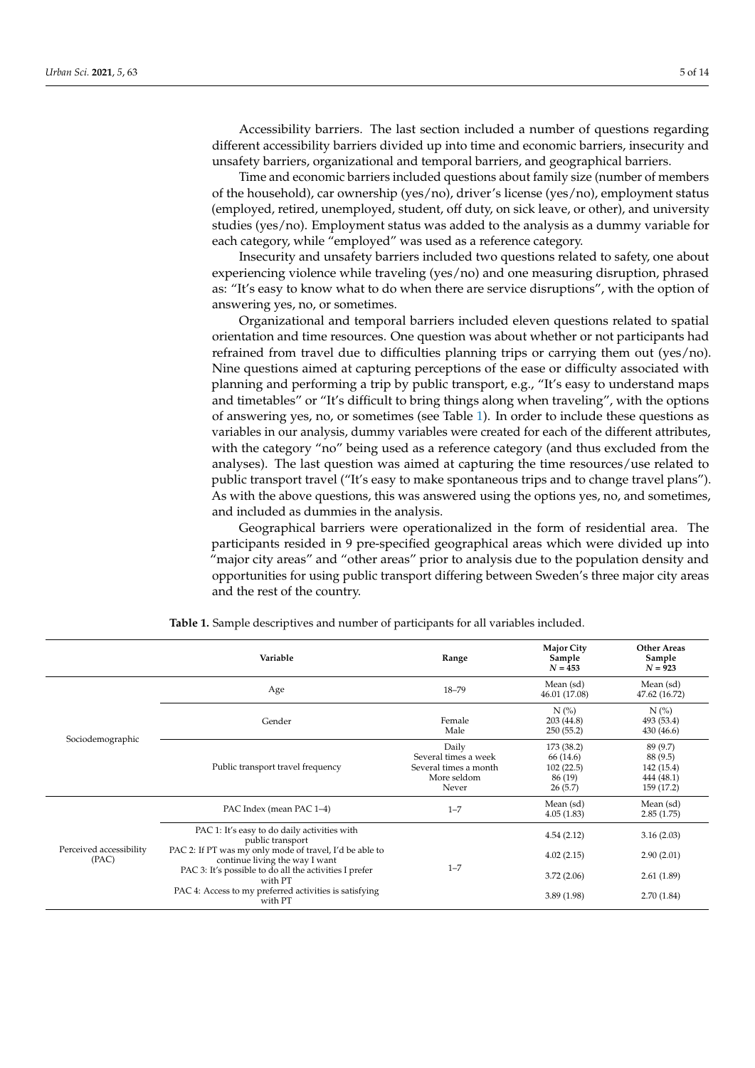Accessibility barriers. The last section included a number of questions regarding different accessibility barriers divided up into time and economic barriers, insecurity and unsafety barriers, organizational and temporal barriers, and geographical barriers.

Time and economic barriers included questions about family size (number of members of the household), car ownership (yes/no), driver's license (yes/no), employment status (employed, retired, unemployed, student, off duty, on sick leave, or other), and university studies (yes/no). Employment status was added to the analysis as a dummy variable for each category, while "employed" was used as a reference category.

Insecurity and unsafety barriers included two questions related to safety, one about experiencing violence while traveling (yes/no) and one measuring disruption, phrased as: "It's easy to know what to do when there are service disruptions", with the option of answering yes, no, or sometimes.

Organizational and temporal barriers included eleven questions related to spatial orientation and time resources. One question was about whether or not participants had refrained from travel due to difficulties planning trips or carrying them out (yes/no). Nine questions aimed at capturing perceptions of the ease or difficulty associated with planning and performing a trip by public transport, e.g., "It's easy to understand maps and timetables" or "It's difficult to bring things along when traveling", with the options of answering yes, no, or sometimes (see Table [1\)](#page-5-1). In order to include these questions as variables in our analysis, dummy variables were created for each of the different attributes, with the category "no" being used as a reference category (and thus excluded from the analyses). The last question was aimed at capturing the time resources/use related to public transport travel ("It's easy to make spontaneous trips and to change travel plans"). As with the above questions, this was answered using the options yes, no, and sometimes, and included as dummies in the analysis.

Geographical barriers were operationalized in the form of residential area. The participants resided in 9 pre-specified geographical areas which were divided up into "major city areas" and "other areas" prior to analysis due to the population density and opportunities for using public transport differing between Sweden's three major city areas and the rest of the country.

|                                  | Variable                                                                                                                                            | Range                                                                          | <b>Major City</b><br>Sample<br>$N = 453$                                                                                                                                                                         | <b>Other Areas</b><br>Sample<br>$N = 923$                      |
|----------------------------------|-----------------------------------------------------------------------------------------------------------------------------------------------------|--------------------------------------------------------------------------------|------------------------------------------------------------------------------------------------------------------------------------------------------------------------------------------------------------------|----------------------------------------------------------------|
|                                  | Age                                                                                                                                                 | $18 - 79$                                                                      | Mean (sd)<br>46.01 (17.08)<br>$N$ (%)<br>203(44.8)<br>250(55.2)<br>173 (38.2)<br>66 (14.6)<br>102(22.5)<br>86 (19)<br>26(5.7)<br>Mean (sd)<br>4.05(1.83)<br>4.54(2.12)<br>4.02(2.15)<br>3.72(2.06)<br>3.89(1.98) | Mean (sd)<br>47.62 (16.72)                                     |
|                                  | Gender                                                                                                                                              | Female<br>Male                                                                 |                                                                                                                                                                                                                  | $N$ $\left(\% \right)$<br>493 (53.4)<br>430 (46.6)             |
| Sociodemographic                 | Public transport travel frequency                                                                                                                   | Daily<br>Several times a week<br>Several times a month<br>More seldom<br>Never |                                                                                                                                                                                                                  | 89 (9.7)<br>88 (9.5)<br>142 (15.4)<br>444 (48.1)<br>159 (17.2) |
|                                  | PAC Index (mean PAC 1-4)                                                                                                                            | $1 - 7$                                                                        |                                                                                                                                                                                                                  | Mean (sd)<br>2.85(1.75)                                        |
|                                  | PAC 1: It's easy to do daily activities with<br>public transport                                                                                    |                                                                                |                                                                                                                                                                                                                  | 3.16(2.03)                                                     |
| Perceived accessibility<br>(PAC) | PAC 2: If PT was my only mode of travel, I'd be able to<br>continue living the way I want<br>PAC 3: It's possible to do all the activities I prefer | $1 - 7$                                                                        |                                                                                                                                                                                                                  | 2.90(2.01)                                                     |
|                                  | with PT<br>PAC 4: Access to my preferred activities is satisfying<br>with PT                                                                        |                                                                                |                                                                                                                                                                                                                  | 2.61(1.89)<br>2.70(1.84)                                       |

**Table 1.** Sample descriptives and number of participants for all variables included.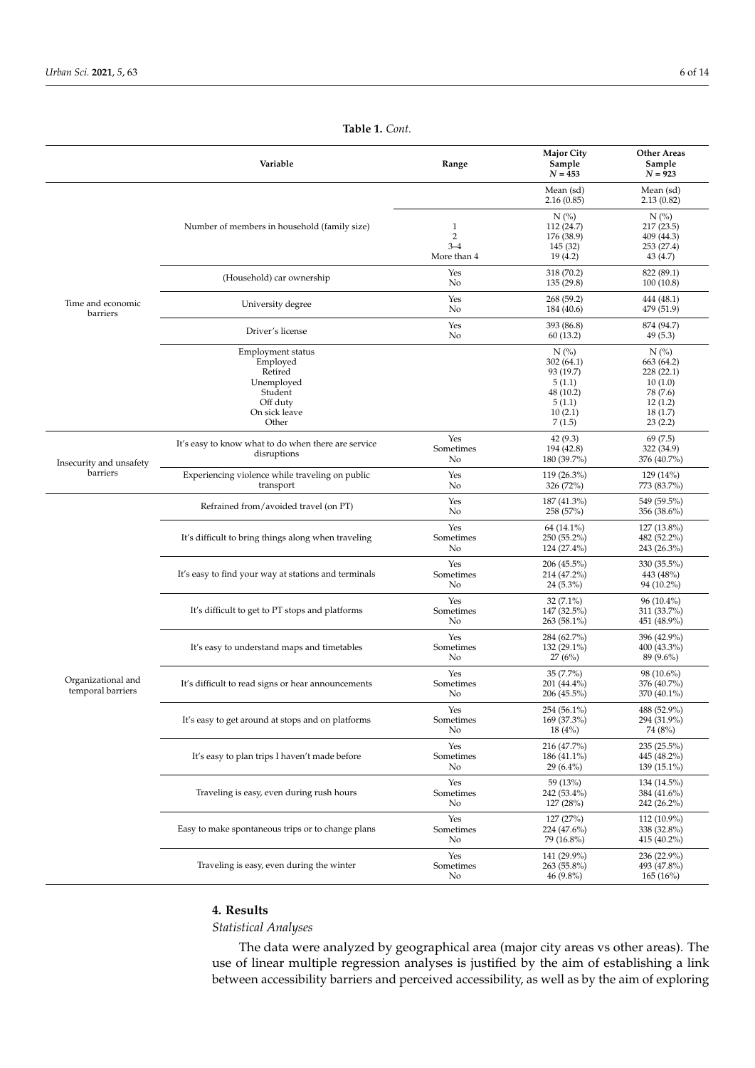<span id="page-5-1"></span>

|                                         | Variable                                                                                                | Range                                         | <b>Major City</b><br>Sample<br>$N = 453$                                                | <b>Other Areas</b><br>Sample<br>$N = 923$                                                   |
|-----------------------------------------|---------------------------------------------------------------------------------------------------------|-----------------------------------------------|-----------------------------------------------------------------------------------------|---------------------------------------------------------------------------------------------|
|                                         |                                                                                                         |                                               | Mean (sd)<br>2.16(0.85)                                                                 | Mean (sd)<br>2.13(0.82)                                                                     |
|                                         | Number of members in household (family size)                                                            | 1<br>$\overline{2}$<br>$3 - 4$<br>More than 4 | $N$ (%)<br>112 (24.7)<br>176 (38.9)<br>145 (32)<br>19(4.2)                              | $N$ (%)<br>217(23.5)<br>409 (44.3)<br>253 (27.4)<br>43(4.7)                                 |
|                                         | (Household) car ownership                                                                               | Yes<br>No                                     | 318 (70.2)<br>135(29.8)                                                                 | 822 (89.1)<br>100(10.8)                                                                     |
| Time and economic<br>barriers           | University degree                                                                                       | Yes<br>No                                     | 268 (59.2)<br>184 (40.6)                                                                | 444 (48.1)<br>479 (51.9)                                                                    |
|                                         | Driver's license                                                                                        | Yes<br>No                                     | 393 (86.8)<br>60 (13.2)                                                                 | 874 (94.7)<br>49(5.3)                                                                       |
|                                         | Employment status<br>Employed<br>Retired<br>Unemployed<br>Student<br>Off duty<br>On sick leave<br>Other |                                               | $N$ (%)<br>302(64.1)<br>93 (19.7)<br>5(1.1)<br>48 (10.2)<br>5(1.1)<br>10(2.1)<br>7(1.5) | $N$ (%)<br>663 (64.2)<br>228 (22.1)<br>10(1.0)<br>78 (7.6)<br>12(1.2)<br>18(1.7)<br>23(2.2) |
| Insecurity and unsafety                 | It's easy to know what to do when there are service<br>disruptions                                      | Yes<br>Sometimes<br>No                        | 42 (9.3)<br>194 (42.8)<br>180 (39.7%)                                                   | 69(7.5)<br>322 (34.9)<br>376 (40.7%)                                                        |
| barriers                                | Experiencing violence while traveling on public<br>transport                                            | Yes<br>No                                     | 119 (26.3%)<br>326 (72%)                                                                | 129(14%)<br>773 (83.7%)                                                                     |
|                                         | Refrained from/avoided travel (on PT)                                                                   | Yes<br>No                                     | 187 (41.3%)<br>258 (57%)                                                                | 549 (59.5%)<br>356 (38.6%)                                                                  |
|                                         | It's difficult to bring things along when traveling                                                     | Yes<br>Sometimes<br>No                        | 64 (14.1%)<br>250 (55.2%)<br>124 (27.4%)                                                | $127(13.8\%)$<br>482 (52.2%)<br>243 (26.3%)                                                 |
|                                         | It's easy to find your way at stations and terminals                                                    | Yes<br>Sometimes<br>No                        | 206 (45.5%)<br>214 (47.2%)<br>$24(5.3\%)$                                               | 330 (35.5%)<br>443 (48%)<br>94 (10.2%)                                                      |
|                                         | It's difficult to get to PT stops and platforms                                                         | Yes<br>Sometimes<br>No                        | $32(7.1\%)$<br>147 (32.5%)<br>263 (58.1%)                                               | $96(10.4\%)$<br>311 (33.7%)<br>451 (48.9%)                                                  |
|                                         | It's easy to understand maps and timetables                                                             | Yes<br>Sometimes<br>No                        | 284 (62.7%)<br>132 (29.1%)<br>27(6%)                                                    | 396 (42.9%)<br>400 (43.3%)<br>89 (9.6%)                                                     |
| Organizational and<br>temporal barriers | It's difficult to read signs or hear announcements                                                      | Yes<br>Sometimes<br>No                        | $35(7.7\%)$<br>201 (44.4%)<br>206 (45.5%)                                               | 98 (10.6%)<br>376 (40.7%)<br>370 (40.1%)                                                    |
|                                         | It's easy to get around at stops and on platforms                                                       | Yes<br>Sometimes<br>No                        | 254 (56.1%)<br>169 (37.3%)<br>18(4%)                                                    | 488 (52.9%)<br>294 (31.9%)<br>74 (8%)                                                       |
|                                         | It's easy to plan trips I haven't made before                                                           | Yes<br>Sometimes<br>No                        | 216 (47.7%)<br>186 (41.1%)<br>$29(6.4\%)$                                               | 235 (25.5%)<br>445 (48.2%)<br>$139(15.1\%)$                                                 |
|                                         | Traveling is easy, even during rush hours                                                               | Yes<br>Sometimes<br>No                        | 59 (13%)<br>242 (53.4%)<br>127 (28%)                                                    | 134 (14.5%)<br>384 (41.6%)<br>242 (26.2%)                                                   |
|                                         | Easy to make spontaneous trips or to change plans                                                       | Yes<br>Sometimes<br>No                        | 127 (27%)<br>224 (47.6%)<br>79 (16.8%)                                                  | $112(10.9\%)$<br>338 (32.8%)<br>415 (40.2%)                                                 |
|                                         | Traveling is easy, even during the winter                                                               | Yes<br>Sometimes<br>No                        | 141 (29.9%)<br>263 (55.8%)<br>$46(9.8\%)$                                               | 236 (22.9%)<br>493 (47.8%)<br>165(16%)                                                      |

#### **Table 1.** *Cont.*

## <span id="page-5-0"></span>**4. Results**

# *Statistical Analyses*

The data were analyzed by geographical area (major city areas vs other areas). The use of linear multiple regression analyses is justified by the aim of establishing a link between accessibility barriers and perceived accessibility, as well as by the aim of exploring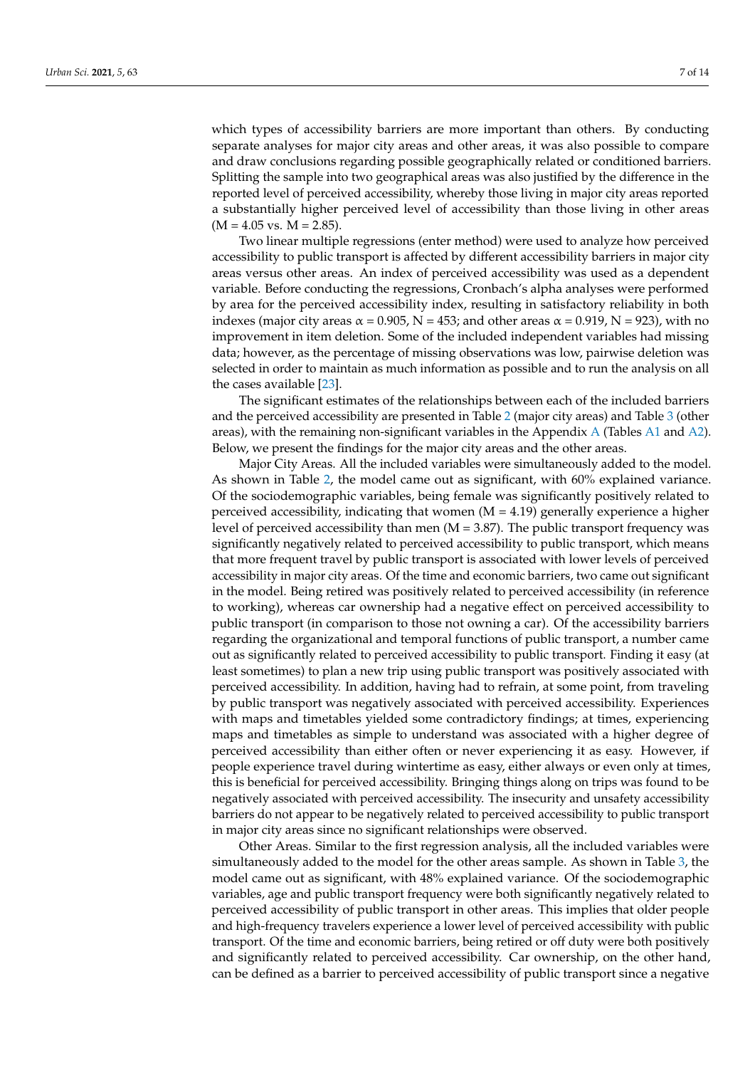which types of accessibility barriers are more important than others. By conducting separate analyses for major city areas and other areas, it was also possible to compare and draw conclusions regarding possible geographically related or conditioned barriers. Splitting the sample into two geographical areas was also justified by the difference in the reported level of perceived accessibility, whereby those living in major city areas reported a substantially higher perceived level of accessibility than those living in other areas  $(M = 4.05$  vs.  $M = 2.85$ ).

Two linear multiple regressions (enter method) were used to analyze how perceived accessibility to public transport is affected by different accessibility barriers in major city areas versus other areas. An index of perceived accessibility was used as a dependent variable. Before conducting the regressions, Cronbach's alpha analyses were performed by area for the perceived accessibility index, resulting in satisfactory reliability in both indexes (major city areas  $\alpha$  = 0.905, N = 453; and other areas  $\alpha$  = 0.919, N = 923), with no improvement in item deletion. Some of the included independent variables had missing data; however, as the percentage of missing observations was low, pairwise deletion was selected in order to maintain as much information as possible and to run the analysis on all the cases available [\[23\]](#page-13-6).

The significant estimates of the relationships between each of the included barriers and the perceived accessibility are presented in Table [2](#page-7-0) (major city areas) and Table [3](#page-7-1) (other areas), with the remaining non-significant variables in the [A](#page-10-0)ppendix A (Tables [A1](#page-11-0) and [A2\)](#page-12-14). Below, we present the findings for the major city areas and the other areas.

Major City Areas. All the included variables were simultaneously added to the model. As shown in Table [2,](#page-7-0) the model came out as significant, with 60% explained variance. Of the sociodemographic variables, being female was significantly positively related to perceived accessibility, indicating that women  $(M = 4.19)$  generally experience a higher level of perceived accessibility than men  $(M = 3.87)$ . The public transport frequency was significantly negatively related to perceived accessibility to public transport, which means that more frequent travel by public transport is associated with lower levels of perceived accessibility in major city areas. Of the time and economic barriers, two came out significant in the model. Being retired was positively related to perceived accessibility (in reference to working), whereas car ownership had a negative effect on perceived accessibility to public transport (in comparison to those not owning a car). Of the accessibility barriers regarding the organizational and temporal functions of public transport, a number came out as significantly related to perceived accessibility to public transport. Finding it easy (at least sometimes) to plan a new trip using public transport was positively associated with perceived accessibility. In addition, having had to refrain, at some point, from traveling by public transport was negatively associated with perceived accessibility. Experiences with maps and timetables yielded some contradictory findings; at times, experiencing maps and timetables as simple to understand was associated with a higher degree of perceived accessibility than either often or never experiencing it as easy. However, if people experience travel during wintertime as easy, either always or even only at times, this is beneficial for perceived accessibility. Bringing things along on trips was found to be negatively associated with perceived accessibility. The insecurity and unsafety accessibility barriers do not appear to be negatively related to perceived accessibility to public transport in major city areas since no significant relationships were observed.

Other Areas. Similar to the first regression analysis, all the included variables were simultaneously added to the model for the other areas sample. As shown in Table [3,](#page-7-1) the model came out as significant, with 48% explained variance. Of the sociodemographic variables, age and public transport frequency were both significantly negatively related to perceived accessibility of public transport in other areas. This implies that older people and high-frequency travelers experience a lower level of perceived accessibility with public transport. Of the time and economic barriers, being retired or off duty were both positively and significantly related to perceived accessibility. Car ownership, on the other hand, can be defined as a barrier to perceived accessibility of public transport since a negative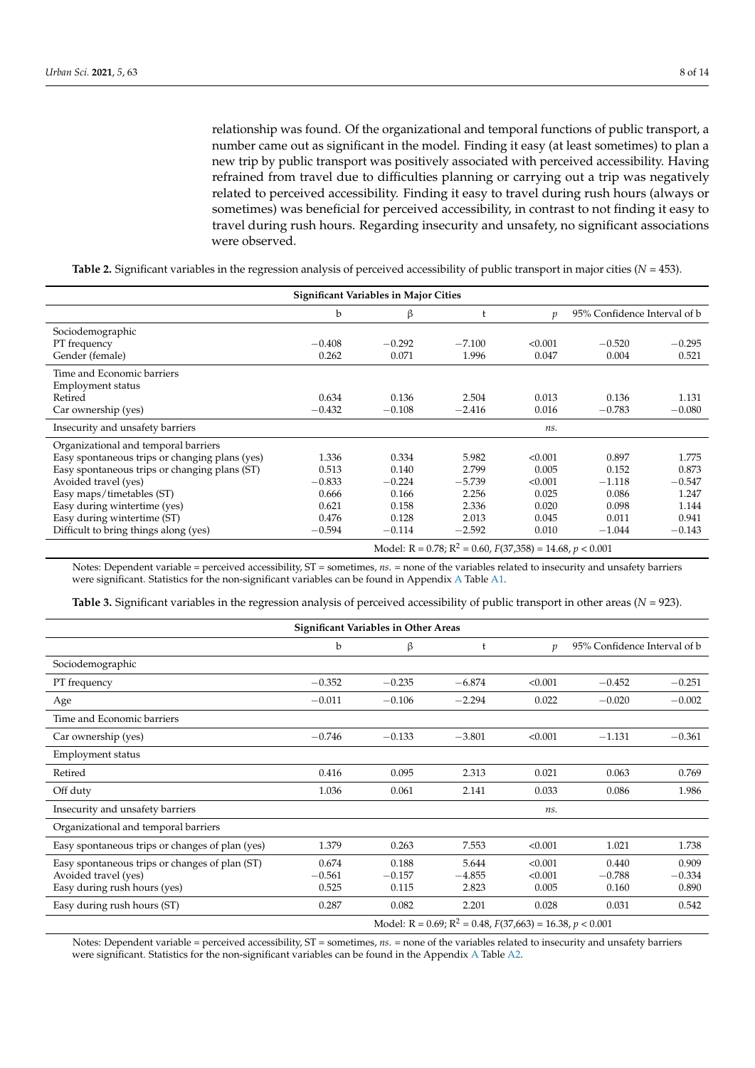relationship was found. Of the organizational and temporal functions of public transport, a number came out as significant in the model. Finding it easy (at least sometimes) to plan a new trip by public transport was positively associated with perceived accessibility. Having refrained from travel due to difficulties planning or carrying out a trip was negatively related to perceived accessibility. Finding it easy to travel during rush hours (always or sometimes) was beneficial for perceived accessibility, in contrast to not finding it easy to travel during rush hours. Regarding insecurity and unsafety, no significant associations were observed.

<span id="page-7-0"></span>**Table 2.** Significant variables in the regression analysis of perceived accessibility of public transport in major cities (*N* = 453).

| <b>Significant Variables in Major Cities</b>   |                                                                      |          |          |               |                              |          |  |
|------------------------------------------------|----------------------------------------------------------------------|----------|----------|---------------|------------------------------|----------|--|
|                                                | b                                                                    | β        |          | $\mathcal{D}$ | 95% Confidence Interval of b |          |  |
| Sociodemographic                               |                                                                      |          |          |               |                              |          |  |
| PT frequency                                   | $-0.408$                                                             | $-0.292$ | $-7.100$ | < 0.001       | $-0.520$                     | $-0.295$ |  |
| Gender (female)                                | 0.262                                                                | 0.071    | 1.996    | 0.047         | 0.004                        | 0.521    |  |
| Time and Economic barriers                     |                                                                      |          |          |               |                              |          |  |
| Employment status                              |                                                                      |          |          |               |                              |          |  |
| Retired                                        | 0.634                                                                | 0.136    | 2.504    | 0.013         | 0.136                        | 1.131    |  |
| Car ownership (yes)                            | $-0.432$                                                             | $-0.108$ | $-2.416$ | 0.016         | $-0.783$                     | $-0.080$ |  |
| Insecurity and unsafety barriers               |                                                                      |          |          | ns.           |                              |          |  |
| Organizational and temporal barriers           |                                                                      |          |          |               |                              |          |  |
| Easy spontaneous trips or changing plans (yes) | 1.336                                                                | 0.334    | 5.982    | < 0.001       | 0.897                        | 1.775    |  |
| Easy spontaneous trips or changing plans (ST)  | 0.513                                                                | 0.140    | 2.799    | 0.005         | 0.152                        | 0.873    |  |
| Avoided travel (yes)                           | $-0.833$                                                             | $-0.224$ | $-5.739$ | < 0.001       | $-1.118$                     | $-0.547$ |  |
| Easy maps/timetables (ST)                      | 0.666                                                                | 0.166    | 2.256    | 0.025         | 0.086                        | 1.247    |  |
| Easy during wintertime (yes)                   | 0.621                                                                | 0.158    | 2.336    | 0.020         | 0.098                        | 1.144    |  |
| Easy during wintertime (ST)                    | 0.476                                                                | 0.128    | 2.013    | 0.045         | 0.011                        | 0.941    |  |
| Difficult to bring things along (yes)          | $-0.594$                                                             | $-0.114$ | $-2.592$ | 0.010         | $-1.044$                     | $-0.143$ |  |
|                                                | Model: $R = 0.78$ ; $R^2 = 0.60$ , $F(37,358) = 14.68$ , $p < 0.001$ |          |          |               |                              |          |  |

Notes: Dependent variable = perceived accessibility, ST = sometimes, *ns*. = none of the variables related to insecurity and unsafety barriers were significant. Statistics for the non-significant variables can be found in Appendix [A](#page-10-0) Table [A1.](#page-11-0)

<span id="page-7-1"></span>**Table 3.** Significant variables in the regression analysis of perceived accessibility of public transport in other areas (*N* = 923).

| <b>Significant Variables in Other Areas</b>                                                            |                                                                           |                            |                            |                             |                              |                            |  |
|--------------------------------------------------------------------------------------------------------|---------------------------------------------------------------------------|----------------------------|----------------------------|-----------------------------|------------------------------|----------------------------|--|
|                                                                                                        | b                                                                         | β                          | t                          | $\boldsymbol{v}$            | 95% Confidence Interval of b |                            |  |
| Sociodemographic                                                                                       |                                                                           |                            |                            |                             |                              |                            |  |
| PT frequency                                                                                           | $-0.352$                                                                  | $-0.235$                   | $-6.874$                   | < 0.001                     | $-0.452$                     | $-0.251$                   |  |
| Age                                                                                                    | $-0.011$                                                                  | $-0.106$                   | $-2.294$                   | 0.022                       | $-0.020$                     | $-0.002$                   |  |
| Time and Economic barriers                                                                             |                                                                           |                            |                            |                             |                              |                            |  |
| Car ownership (yes)                                                                                    | $-0.746$                                                                  | $-0.133$                   | $-3.801$                   | < 0.001                     | $-1.131$                     | $-0.361$                   |  |
| Employment status                                                                                      |                                                                           |                            |                            |                             |                              |                            |  |
| Retired                                                                                                | 0.416                                                                     | 0.095                      | 2.313                      | 0.021                       | 0.063                        | 0.769                      |  |
| Off duty                                                                                               | 1.036                                                                     | 0.061                      | 2.141                      | 0.033                       | 0.086                        | 1.986                      |  |
| Insecurity and unsafety barriers                                                                       |                                                                           |                            |                            | ns.                         |                              |                            |  |
| Organizational and temporal barriers                                                                   |                                                                           |                            |                            |                             |                              |                            |  |
| Easy spontaneous trips or changes of plan (yes)                                                        | 1.379                                                                     | 0.263                      | 7.553                      | < 0.001                     | 1.021                        | 1.738                      |  |
| Easy spontaneous trips or changes of plan (ST)<br>Avoided travel (yes)<br>Easy during rush hours (yes) | 0.674<br>$-0.561$<br>0.525                                                | 0.188<br>$-0.157$<br>0.115 | 5.644<br>$-4.855$<br>2.823 | < 0.001<br>< 0.001<br>0.005 | 0.440<br>$-0.788$<br>0.160   | 0.909<br>$-0.334$<br>0.890 |  |
| Easy during rush hours (ST)                                                                            | 0.287                                                                     | 0.082                      | 2.201                      | 0.028                       | 0.031                        | 0.542                      |  |
|                                                                                                        | Model: R = 0.69; R <sup>2</sup> = 0.48, $F(37,663) = 16.38$ , $p < 0.001$ |                            |                            |                             |                              |                            |  |

Notes: Dependent variable = perceived accessibility, ST = sometimes, *ns*. = none of the variables related to insecurity and unsafety barriers were significant. Statistics for the non-significant variables can be found in the Appendix [A](#page-10-0) Table [A2.](#page-12-14)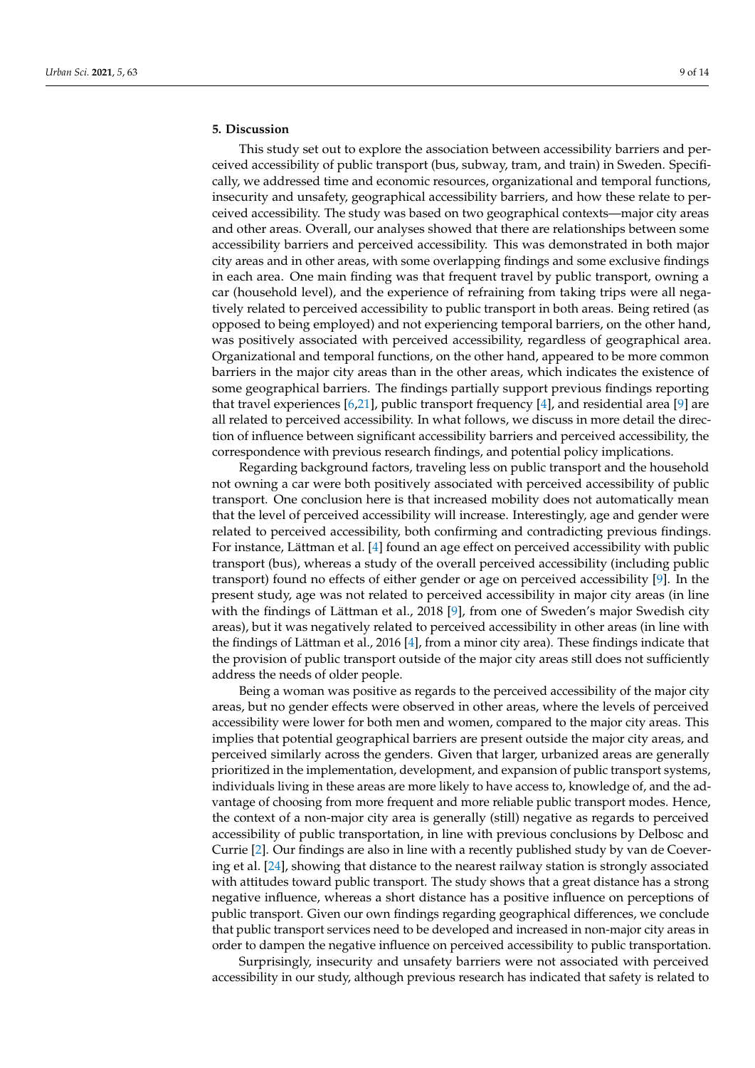# <span id="page-8-0"></span>**5. Discussion**

This study set out to explore the association between accessibility barriers and perceived accessibility of public transport (bus, subway, tram, and train) in Sweden. Specifically, we addressed time and economic resources, organizational and temporal functions, insecurity and unsafety, geographical accessibility barriers, and how these relate to perceived accessibility. The study was based on two geographical contexts—major city areas and other areas. Overall, our analyses showed that there are relationships between some accessibility barriers and perceived accessibility. This was demonstrated in both major city areas and in other areas, with some overlapping findings and some exclusive findings in each area. One main finding was that frequent travel by public transport, owning a car (household level), and the experience of refraining from taking trips were all negatively related to perceived accessibility to public transport in both areas. Being retired (as opposed to being employed) and not experiencing temporal barriers, on the other hand, was positively associated with perceived accessibility, regardless of geographical area. Organizational and temporal functions, on the other hand, appeared to be more common barriers in the major city areas than in the other areas, which indicates the existence of some geographical barriers. The findings partially support previous findings reporting that travel experiences [\[6,](#page-12-3)[21\]](#page-13-4), public transport frequency [\[4\]](#page-12-1), and residential area [\[9\]](#page-12-6) are all related to perceived accessibility. In what follows, we discuss in more detail the direction of influence between significant accessibility barriers and perceived accessibility, the correspondence with previous research findings, and potential policy implications.

Regarding background factors, traveling less on public transport and the household not owning a car were both positively associated with perceived accessibility of public transport. One conclusion here is that increased mobility does not automatically mean that the level of perceived accessibility will increase. Interestingly, age and gender were related to perceived accessibility, both confirming and contradicting previous findings. For instance, Lättman et al. [\[4\]](#page-12-1) found an age effect on perceived accessibility with public transport (bus), whereas a study of the overall perceived accessibility (including public transport) found no effects of either gender or age on perceived accessibility [\[9\]](#page-12-6). In the present study, age was not related to perceived accessibility in major city areas (in line with the findings of Lättman et al., 2018 [\[9\]](#page-12-6), from one of Sweden's major Swedish city areas), but it was negatively related to perceived accessibility in other areas (in line with the findings of Lättman et al., 2016 [\[4\]](#page-12-1), from a minor city area). These findings indicate that the provision of public transport outside of the major city areas still does not sufficiently address the needs of older people.

Being a woman was positive as regards to the perceived accessibility of the major city areas, but no gender effects were observed in other areas, where the levels of perceived accessibility were lower for both men and women, compared to the major city areas. This implies that potential geographical barriers are present outside the major city areas, and perceived similarly across the genders. Given that larger, urbanized areas are generally prioritized in the implementation, development, and expansion of public transport systems, individuals living in these areas are more likely to have access to, knowledge of, and the advantage of choosing from more frequent and more reliable public transport modes. Hence, the context of a non-major city area is generally (still) negative as regards to perceived accessibility of public transportation, in line with previous conclusions by Delbosc and Currie [\[2\]](#page-12-13). Our findings are also in line with a recently published study by van de Coevering et al. [\[24\]](#page-13-7), showing that distance to the nearest railway station is strongly associated with attitudes toward public transport. The study shows that a great distance has a strong negative influence, whereas a short distance has a positive influence on perceptions of public transport. Given our own findings regarding geographical differences, we conclude that public transport services need to be developed and increased in non-major city areas in order to dampen the negative influence on perceived accessibility to public transportation.

Surprisingly, insecurity and unsafety barriers were not associated with perceived accessibility in our study, although previous research has indicated that safety is related to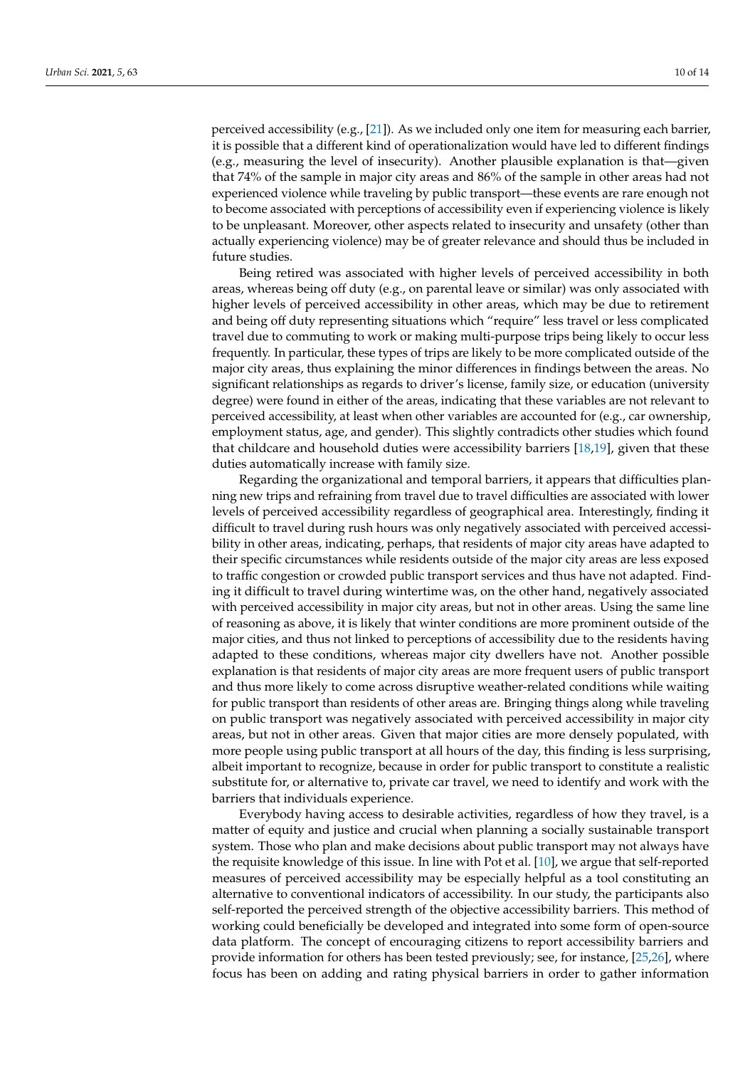perceived accessibility (e.g., [\[21\]](#page-13-4)). As we included only one item for measuring each barrier, it is possible that a different kind of operationalization would have led to different findings (e.g., measuring the level of insecurity). Another plausible explanation is that—given that 74% of the sample in major city areas and 86% of the sample in other areas had not experienced violence while traveling by public transport—these events are rare enough not to become associated with perceptions of accessibility even if experiencing violence is likely to be unpleasant. Moreover, other aspects related to insecurity and unsafety (other than actually experiencing violence) may be of greater relevance and should thus be included in future studies.

Being retired was associated with higher levels of perceived accessibility in both areas, whereas being off duty (e.g., on parental leave or similar) was only associated with higher levels of perceived accessibility in other areas, which may be due to retirement and being off duty representing situations which "require" less travel or less complicated travel due to commuting to work or making multi-purpose trips being likely to occur less frequently. In particular, these types of trips are likely to be more complicated outside of the major city areas, thus explaining the minor differences in findings between the areas. No significant relationships as regards to driver's license, family size, or education (university degree) were found in either of the areas, indicating that these variables are not relevant to perceived accessibility, at least when other variables are accounted for (e.g., car ownership, employment status, age, and gender). This slightly contradicts other studies which found that childcare and household duties were accessibility barriers [\[18](#page-13-1)[,19\]](#page-13-2), given that these duties automatically increase with family size.

Regarding the organizational and temporal barriers, it appears that difficulties planning new trips and refraining from travel due to travel difficulties are associated with lower levels of perceived accessibility regardless of geographical area. Interestingly, finding it difficult to travel during rush hours was only negatively associated with perceived accessibility in other areas, indicating, perhaps, that residents of major city areas have adapted to their specific circumstances while residents outside of the major city areas are less exposed to traffic congestion or crowded public transport services and thus have not adapted. Finding it difficult to travel during wintertime was, on the other hand, negatively associated with perceived accessibility in major city areas, but not in other areas. Using the same line of reasoning as above, it is likely that winter conditions are more prominent outside of the major cities, and thus not linked to perceptions of accessibility due to the residents having adapted to these conditions, whereas major city dwellers have not. Another possible explanation is that residents of major city areas are more frequent users of public transport and thus more likely to come across disruptive weather-related conditions while waiting for public transport than residents of other areas are. Bringing things along while traveling on public transport was negatively associated with perceived accessibility in major city areas, but not in other areas. Given that major cities are more densely populated, with more people using public transport at all hours of the day, this finding is less surprising, albeit important to recognize, because in order for public transport to constitute a realistic substitute for, or alternative to, private car travel, we need to identify and work with the barriers that individuals experience.

Everybody having access to desirable activities, regardless of how they travel, is a matter of equity and justice and crucial when planning a socially sustainable transport system. Those who plan and make decisions about public transport may not always have the requisite knowledge of this issue. In line with Pot et al. [\[10\]](#page-12-7), we argue that self-reported measures of perceived accessibility may be especially helpful as a tool constituting an alternative to conventional indicators of accessibility. In our study, the participants also self-reported the perceived strength of the objective accessibility barriers. This method of working could beneficially be developed and integrated into some form of open-source data platform. The concept of encouraging citizens to report accessibility barriers and provide information for others has been tested previously; see, for instance, [\[25](#page-13-8)[,26\]](#page-13-9), where focus has been on adding and rating physical barriers in order to gather information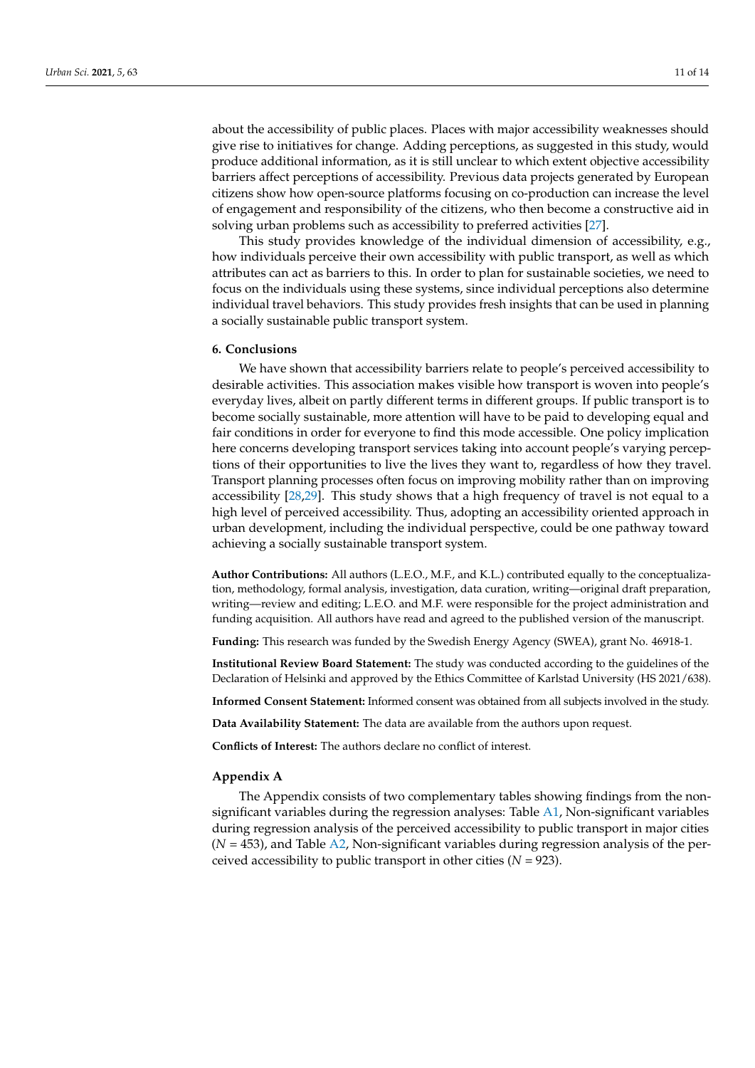about the accessibility of public places. Places with major accessibility weaknesses should give rise to initiatives for change. Adding perceptions, as suggested in this study, would produce additional information, as it is still unclear to which extent objective accessibility barriers affect perceptions of accessibility. Previous data projects generated by European citizens show how open-source platforms focusing on co-production can increase the level of engagement and responsibility of the citizens, who then become a constructive aid in solving urban problems such as accessibility to preferred activities [\[27\]](#page-13-10).

This study provides knowledge of the individual dimension of accessibility, e.g., how individuals perceive their own accessibility with public transport, as well as which attributes can act as barriers to this. In order to plan for sustainable societies, we need to focus on the individuals using these systems, since individual perceptions also determine individual travel behaviors. This study provides fresh insights that can be used in planning a socially sustainable public transport system.

#### **6. Conclusions**

We have shown that accessibility barriers relate to people's perceived accessibility to desirable activities. This association makes visible how transport is woven into people's everyday lives, albeit on partly different terms in different groups. If public transport is to become socially sustainable, more attention will have to be paid to developing equal and fair conditions in order for everyone to find this mode accessible. One policy implication here concerns developing transport services taking into account people's varying perceptions of their opportunities to live the lives they want to, regardless of how they travel. Transport planning processes often focus on improving mobility rather than on improving accessibility [\[28](#page-13-11)[,29\]](#page-13-12). This study shows that a high frequency of travel is not equal to a high level of perceived accessibility. Thus, adopting an accessibility oriented approach in urban development, including the individual perspective, could be one pathway toward achieving a socially sustainable transport system.

**Author Contributions:** All authors (L.E.O., M.F., and K.L.) contributed equally to the conceptualization, methodology, formal analysis, investigation, data curation, writing—original draft preparation, writing—review and editing; L.E.O. and M.F. were responsible for the project administration and funding acquisition. All authors have read and agreed to the published version of the manuscript.

**Funding:** This research was funded by the Swedish Energy Agency (SWEA), grant No. 46918-1.

**Institutional Review Board Statement:** The study was conducted according to the guidelines of the Declaration of Helsinki and approved by the Ethics Committee of Karlstad University (HS 2021/638).

**Informed Consent Statement:** Informed consent was obtained from all subjects involved in the study.

**Data Availability Statement:** The data are available from the authors upon request.

**Conflicts of Interest:** The authors declare no conflict of interest.

### <span id="page-10-0"></span>**Appendix A**

The Appendix consists of two complementary tables showing findings from the nonsignificant variables during the regression analyses: Table [A1,](#page-11-0) Non-significant variables during regression analysis of the perceived accessibility to public transport in major cities  $(N = 453)$ , and Table [A2,](#page-12-14) Non-significant variables during regression analysis of the perceived accessibility to public transport in other cities  $(N = 923)$ .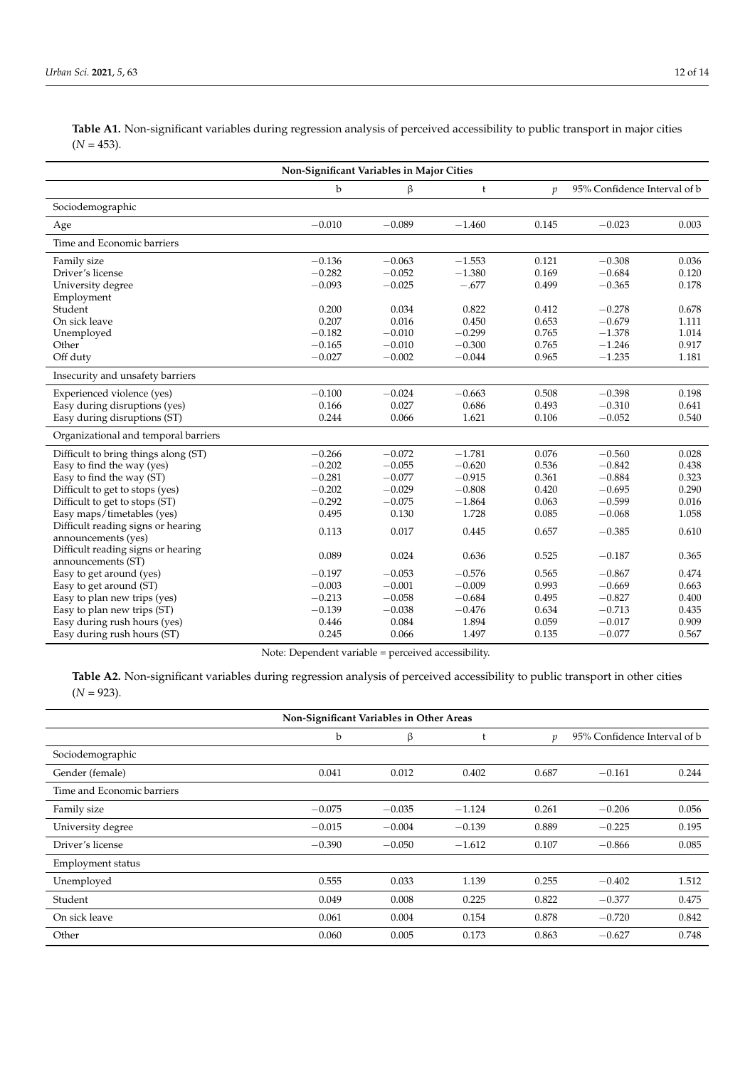<span id="page-11-0"></span>**Table A1.** Non-significant variables during regression analysis of perceived accessibility to public transport in major cities  $(N = 453)$ .

| Non-Significant Variables in Major Cities |          |          |          |               |                              |       |
|-------------------------------------------|----------|----------|----------|---------------|------------------------------|-------|
|                                           | b        | β        | t        | $\mathcal{V}$ | 95% Confidence Interval of b |       |
| Sociodemographic                          |          |          |          |               |                              |       |
| Age                                       | $-0.010$ | $-0.089$ | $-1.460$ | 0.145         | $-0.023$                     | 0.003 |
| Time and Economic barriers                |          |          |          |               |                              |       |
| Family size                               | $-0.136$ | $-0.063$ | $-1.553$ | 0.121         | $-0.308$                     | 0.036 |
| Driver's license                          | $-0.282$ | $-0.052$ | $-1.380$ | 0.169         | $-0.684$                     | 0.120 |
| University degree                         | $-0.093$ | $-0.025$ | $-.677$  | 0.499         | $-0.365$                     | 0.178 |
| Employment                                |          |          |          |               |                              |       |
| Student                                   | 0.200    | 0.034    | 0.822    | 0.412         | $-0.278$                     | 0.678 |
| On sick leave                             | 0.207    | 0.016    | 0.450    | 0.653         | $-0.679$                     | 1.111 |
| Unemployed                                | $-0.182$ | $-0.010$ | $-0.299$ | 0.765         | $-1.378$                     | 1.014 |
| Other                                     | $-0.165$ | $-0.010$ | $-0.300$ | 0.765         | $-1.246$                     | 0.917 |
| Off duty                                  | $-0.027$ | $-0.002$ | $-0.044$ | 0.965         | $-1.235$                     | 1.181 |
| Insecurity and unsafety barriers          |          |          |          |               |                              |       |
| Experienced violence (yes)                | $-0.100$ | $-0.024$ | $-0.663$ | 0.508         | $-0.398$                     | 0.198 |
| Easy during disruptions (yes)             | 0.166    | 0.027    | 0.686    | 0.493         | $-0.310$                     | 0.641 |
| Easy during disruptions (ST)              | 0.244    | 0.066    | 1.621    | 0.106         | $-0.052$                     | 0.540 |
| Organizational and temporal barriers      |          |          |          |               |                              |       |
| Difficult to bring things along (ST)      | $-0.266$ | $-0.072$ | $-1.781$ | 0.076         | $-0.560$                     | 0.028 |
| Easy to find the way (yes)                | $-0.202$ | $-0.055$ | $-0.620$ | 0.536         | $-0.842$                     | 0.438 |
| Easy to find the way (ST)                 | $-0.281$ | $-0.077$ | $-0.915$ | 0.361         | $-0.884$                     | 0.323 |
| Difficult to get to stops (yes)           | $-0.202$ | $-0.029$ | $-0.808$ | 0.420         | $-0.695$                     | 0.290 |
| Difficult to get to stops (ST)            | $-0.292$ | $-0.075$ | $-1.864$ | 0.063         | $-0.599$                     | 0.016 |
| Easy maps/timetables (yes)                | 0.495    | 0.130    | 1.728    | 0.085         | $-0.068$                     | 1.058 |
| Difficult reading signs or hearing        |          | 0.017    |          |               | $-0.385$                     |       |
| announcements (yes)                       | 0.113    |          | 0.445    | 0.657         |                              | 0.610 |
| Difficult reading signs or hearing        |          |          |          |               |                              |       |
| announcements (ST)                        | 0.089    | 0.024    | 0.636    | 0.525         | $-0.187$                     | 0.365 |
| Easy to get around (yes)                  | $-0.197$ | $-0.053$ | $-0.576$ | 0.565         | $-0.867$                     | 0.474 |
| Easy to get around (ST)                   | $-0.003$ | $-0.001$ | $-0.009$ | 0.993         | $-0.669$                     | 0.663 |
| Easy to plan new trips (yes)              | $-0.213$ | $-0.058$ | $-0.684$ | 0.495         | $-0.827$                     | 0.400 |
| Easy to plan new trips (ST)               | $-0.139$ | $-0.038$ | $-0.476$ | 0.634         | $-0.713$                     | 0.435 |
| Easy during rush hours (yes)              | 0.446    | 0.084    | 1.894    | 0.059         | $-0.017$                     | 0.909 |
| Easy during rush hours (ST)               | 0.245    | 0.066    | 1.497    | 0.135         | $-0.077$                     | 0.567 |

Note: Dependent variable = perceived accessibility.

**Table A2.** Non-significant variables during regression analysis of perceived accessibility to public transport in other cities  $(N = 923)$ .

| Non-Significant Variables in Other Areas |          |          |          |       |                              |       |  |
|------------------------------------------|----------|----------|----------|-------|------------------------------|-------|--|
|                                          | b        | β        | t        | p     | 95% Confidence Interval of b |       |  |
| Sociodemographic                         |          |          |          |       |                              |       |  |
| Gender (female)                          | 0.041    | 0.012    | 0.402    | 0.687 | $-0.161$                     | 0.244 |  |
| Time and Economic barriers               |          |          |          |       |                              |       |  |
| Family size                              | $-0.075$ | $-0.035$ | $-1.124$ | 0.261 | $-0.206$                     | 0.056 |  |
| University degree                        | $-0.015$ | $-0.004$ | $-0.139$ | 0.889 | $-0.225$                     | 0.195 |  |
| Driver's license                         | $-0.390$ | $-0.050$ | $-1.612$ | 0.107 | $-0.866$                     | 0.085 |  |
| Employment status                        |          |          |          |       |                              |       |  |
| Unemployed                               | 0.555    | 0.033    | 1.139    | 0.255 | $-0.402$                     | 1.512 |  |
| Student                                  | 0.049    | 0.008    | 0.225    | 0.822 | $-0.377$                     | 0.475 |  |
| On sick leave                            | 0.061    | 0.004    | 0.154    | 0.878 | $-0.720$                     | 0.842 |  |
| Other                                    | 0.060    | 0.005    | 0.173    | 0.863 | $-0.627$                     | 0.748 |  |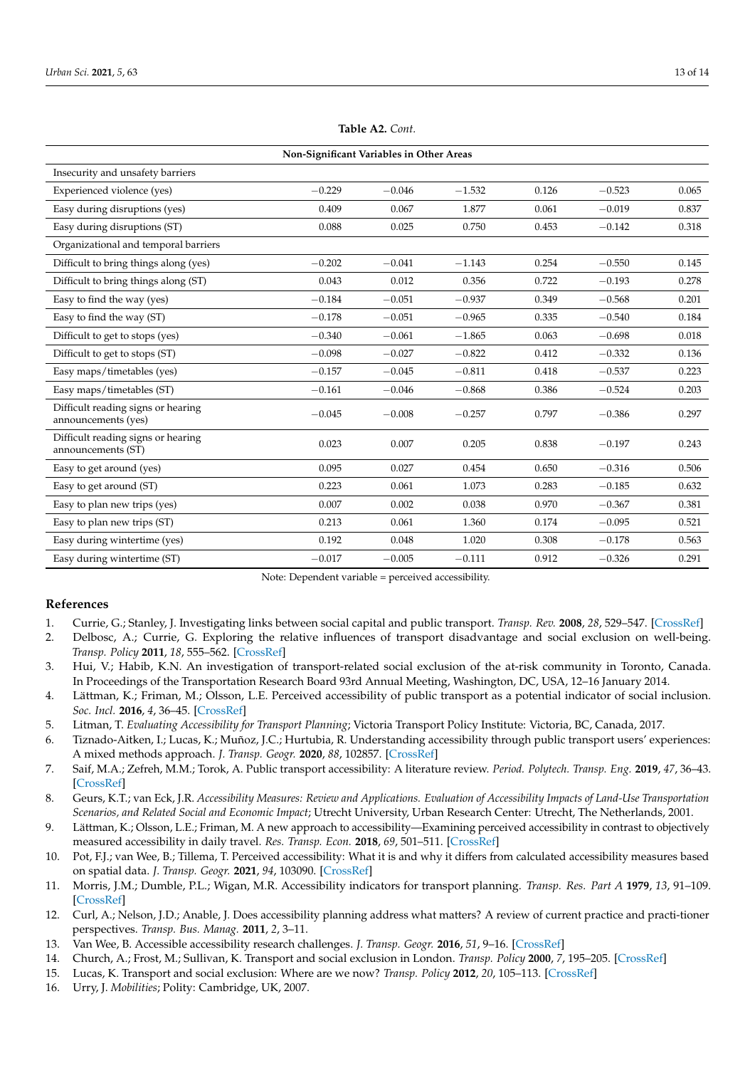<span id="page-12-14"></span>

| Non-Significant Variables in Other Areas                  |          |          |          |       |          |       |  |
|-----------------------------------------------------------|----------|----------|----------|-------|----------|-------|--|
| Insecurity and unsafety barriers                          |          |          |          |       |          |       |  |
| Experienced violence (yes)                                | $-0.229$ | $-0.046$ | $-1.532$ | 0.126 | $-0.523$ | 0.065 |  |
| Easy during disruptions (yes)                             | 0.409    | 0.067    | 1.877    | 0.061 | $-0.019$ | 0.837 |  |
| Easy during disruptions (ST)                              | 0.088    | 0.025    | 0.750    | 0.453 | $-0.142$ | 0.318 |  |
| Organizational and temporal barriers                      |          |          |          |       |          |       |  |
| Difficult to bring things along (yes)                     | $-0.202$ | $-0.041$ | $-1.143$ | 0.254 | $-0.550$ | 0.145 |  |
| Difficult to bring things along (ST)                      | 0.043    | 0.012    | 0.356    | 0.722 | $-0.193$ | 0.278 |  |
| Easy to find the way (yes)                                | $-0.184$ | $-0.051$ | $-0.937$ | 0.349 | $-0.568$ | 0.201 |  |
| Easy to find the way (ST)                                 | $-0.178$ | $-0.051$ | $-0.965$ | 0.335 | $-0.540$ | 0.184 |  |
| Difficult to get to stops (yes)                           | $-0.340$ | $-0.061$ | $-1.865$ | 0.063 | $-0.698$ | 0.018 |  |
| Difficult to get to stops (ST)                            | $-0.098$ | $-0.027$ | $-0.822$ | 0.412 | $-0.332$ | 0.136 |  |
| Easy maps/timetables (yes)                                | $-0.157$ | $-0.045$ | $-0.811$ | 0.418 | $-0.537$ | 0.223 |  |
| Easy maps/timetables (ST)                                 | $-0.161$ | $-0.046$ | $-0.868$ | 0.386 | $-0.524$ | 0.203 |  |
| Difficult reading signs or hearing<br>announcements (yes) | $-0.045$ | $-0.008$ | $-0.257$ | 0.797 | $-0.386$ | 0.297 |  |
| Difficult reading signs or hearing<br>announcements (ST)  | 0.023    | 0.007    | 0.205    | 0.838 | $-0.197$ | 0.243 |  |
| Easy to get around (yes)                                  | 0.095    | 0.027    | 0.454    | 0.650 | $-0.316$ | 0.506 |  |
| Easy to get around (ST)                                   | 0.223    | 0.061    | 1.073    | 0.283 | $-0.185$ | 0.632 |  |
| Easy to plan new trips (yes)                              | 0.007    | 0.002    | 0.038    | 0.970 | $-0.367$ | 0.381 |  |
| Easy to plan new trips (ST)                               | 0.213    | 0.061    | 1.360    | 0.174 | $-0.095$ | 0.521 |  |
| Easy during wintertime (yes)                              | 0.192    | 0.048    | 1.020    | 0.308 | $-0.178$ | 0.563 |  |
| Easy during wintertime (ST)                               | $-0.017$ | $-0.005$ | $-0.111$ | 0.912 | $-0.326$ | 0.291 |  |

**Table A2.** *Cont.*

Note: Dependent variable = perceived accessibility.

## **References**

- <span id="page-12-0"></span>1. Currie, G.; Stanley, J. Investigating links between social capital and public transport. *Transp. Rev.* **2008**, *28*, 529–547. [\[CrossRef\]](http://doi.org/10.1080/01441640701817197)
- <span id="page-12-13"></span>2. Delbosc, A.; Currie, G. Exploring the relative influences of transport disadvantage and social exclusion on well-being. *Transp. Policy* **2011**, *18*, 555–562. [\[CrossRef\]](http://doi.org/10.1016/j.tranpol.2011.01.011)
- 3. Hui, V.; Habib, K.N. An investigation of transport-related social exclusion of the at-risk community in Toronto, Canada. In Proceedings of the Transportation Research Board 93rd Annual Meeting, Washington, DC, USA, 12–16 January 2014.
- <span id="page-12-1"></span>4. Lättman, K.; Friman, M.; Olsson, L.E. Perceived accessibility of public transport as a potential indicator of social inclusion. *Soc. Incl.* **2016**, *4*, 36–45. [\[CrossRef\]](http://doi.org/10.17645/si.v4i3.481)
- <span id="page-12-2"></span>5. Litman, T. *Evaluating Accessibility for Transport Planning*; Victoria Transport Policy Institute: Victoria, BC, Canada, 2017.
- <span id="page-12-3"></span>6. Tiznado-Aitken, I.; Lucas, K.; Muñoz, J.C.; Hurtubia, R. Understanding accessibility through public transport users' experiences: A mixed methods approach. *J. Transp. Geogr.* **2020**, *88*, 102857. [\[CrossRef\]](http://doi.org/10.1016/j.jtrangeo.2020.102857)
- <span id="page-12-4"></span>7. Saif, M.A.; Zefreh, M.M.; Torok, A. Public transport accessibility: A literature review. *Period. Polytech. Transp. Eng.* **2019**, *47*, 36–43. [\[CrossRef\]](http://doi.org/10.3311/PPtr.12072)
- <span id="page-12-5"></span>8. Geurs, K.T.; van Eck, J.R. *Accessibility Measures: Review and Applications. Evaluation of Accessibility Impacts of Land-Use Transportation Scenarios, and Related Social and Economic Impact*; Utrecht University, Urban Research Center: Utrecht, The Netherlands, 2001.
- <span id="page-12-6"></span>9. Lättman, K.; Olsson, L.E.; Friman, M. A new approach to accessibility—Examining perceived accessibility in contrast to objectively measured accessibility in daily travel. *Res. Transp. Econ.* **2018**, *69*, 501–511. [\[CrossRef\]](http://doi.org/10.1016/j.retrec.2018.06.002)
- <span id="page-12-7"></span>10. Pot, F.J.; van Wee, B.; Tillema, T. Perceived accessibility: What it is and why it differs from calculated accessibility measures based on spatial data. *J. Transp. Geogr.* **2021**, *94*, 103090. [\[CrossRef\]](http://doi.org/10.1016/j.jtrangeo.2021.103090)
- <span id="page-12-8"></span>11. Morris, J.M.; Dumble, P.L.; Wigan, M.R. Accessibility indicators for transport planning. *Transp. Res. Part A* **1979**, *13*, 91–109. [\[CrossRef\]](http://doi.org/10.1016/0191-2607(79)90012-8)
- <span id="page-12-9"></span>12. Curl, A.; Nelson, J.D.; Anable, J. Does accessibility planning address what matters? A review of current practice and practi-tioner perspectives. *Transp. Bus. Manag.* **2011**, *2*, 3–11.
- <span id="page-12-10"></span>13. Van Wee, B. Accessible accessibility research challenges. *J. Transp. Geogr.* **2016**, *51*, 9–16. [\[CrossRef\]](http://doi.org/10.1016/j.jtrangeo.2015.10.018)
- <span id="page-12-11"></span>14. Church, A.; Frost, M.; Sullivan, K. Transport and social exclusion in London. *Transp. Policy* **2000**, *7*, 195–205. [\[CrossRef\]](http://doi.org/10.1016/S0967-070X(00)00024-X)
- 15. Lucas, K. Transport and social exclusion: Where are we now? *Transp. Policy* **2012**, *20*, 105–113. [\[CrossRef\]](http://doi.org/10.1016/j.tranpol.2012.01.013)
- <span id="page-12-12"></span>16. Urry, J. *Mobilities*; Polity: Cambridge, UK, 2007.